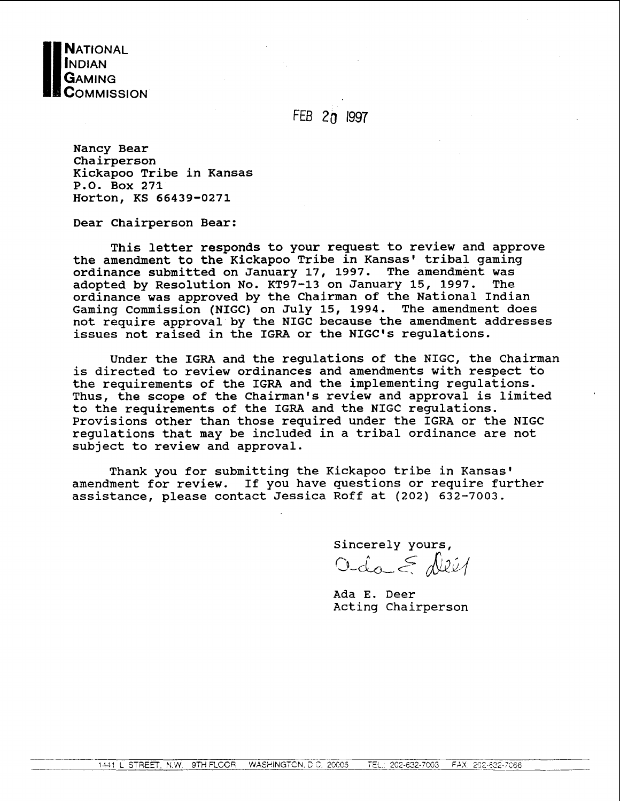

FEB 20 **I997** 

Nancy Bear Chairperson Kickapoo Tribe in Kansas P.O. Box 271 Horton, KS 66439-0271

Dear Chairperson Bear:

This letter responds to your request to review and approve the amendment to the Kickapoo Tribe in Kansas' tribal gaming ordinance submitted on January 17, 1997. The amendment was<br>adopted by Resolution No. KT97-13 on January 15, 1997. The adopted by Resolution No. KT97-13 on January 15, 1997. ordinance was approved by the Chairman of the National Indian Gaming Commission (NIGC) on July 15, 1994. The amendment does not require approval'by the NIGC because the amendment addresses issues not raised in the IGRA or the NIGC's regulations.

Under the IGRA and the regulations of the NIGC, the Chairman is directed to review ordinances and amendments with respect to the requirements of the IGRA and the implementing regulations. Thus, the scope of the Chairman's review and approval is limited to the requirements of the IGRA and the NIGC regulations. Provisions other than those required under the IGRA or the NIGC regulations that may be included in a tribal ordinance are not subject to review and approval.

Thank you for submitting the Kickapoo tribe in Kansas' amendment for review. If you have questions or require further assistance, please contact Jessica Roff at **(202) 632-7003.** 

Sincerely yours,

Oda E Dei1

Ada E. Deer Acting Chairperson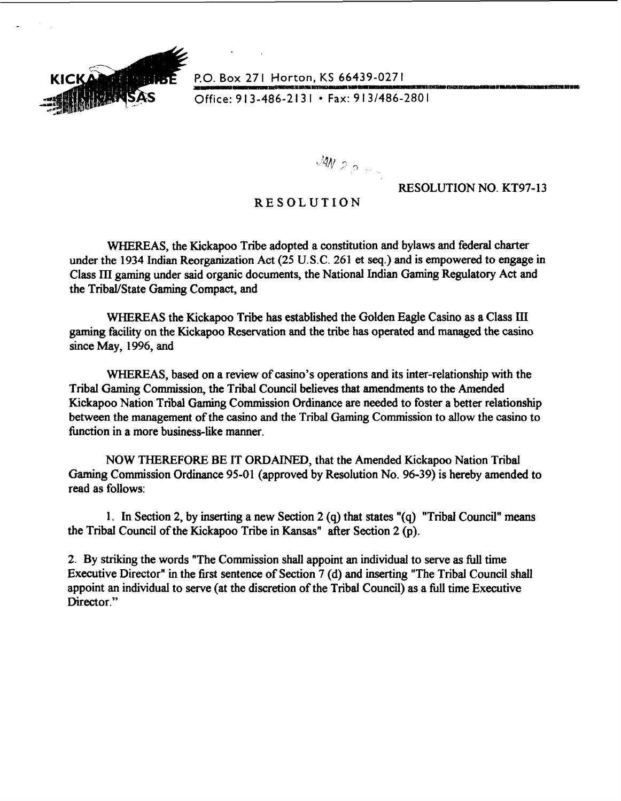

**P.O. Box 271 Horton, KS 66439-0271**<br>
Office: 913-486-2131 • Fax: 913/486-2801

Office: 913-486-2131 • Fax: 913/486-2801

 $MN_{2,2,m}$ 

## RESOLUTION NO. KT97-13

## RESOLUTION

WHEREAS, the Kickapoo Tribe adopted a constitution and bylaws and federal charter under the 1934 Indian Reorganization Act (25 U.S.C. 261 **et seq.)** and is empowered to engage in Class **III** gaming under said organic documents, the National Indian Gaming Regulatory Act and the TribaVState Gaming Compact, and

WHEREAS the Kickapoo Tribe has established the Golden Eagle Casino as a Class III **gaming** facility on the Kickapoo Reservation and the tribe has operated and managed the casino since May, 1996, and

WHEREAS, based on a review of casino's operations and its inter-relationship with the Tribal Gaming Commission, the Tribal Council believes that amendments to the Amended Kickapoo Nation Tribal Gaming Commission Ordinance are needed to foster a better relationship between the management of the casino and the Tribal **Gaming** Commission to allow the casino to function in a more business-like manner.

NOW THEREFORE BE IT ORDAINED, that the Amended Kickapoo Nation Tribal Gaming Commission Ordinance 95-01 (approved by Resolution No. 96-39) is hereby amended to read as follows:

1. In Section 2, by inserting a new Section 2 (q) that states "(q) "Tribal Council" means the Tribal Council of the Kickapoo Tribe in Kansas" after Section 2 **(p).** 

2. By **striking** the words "The Commission shall appoint an individual to serve as full time Executive Director" in the first sentence of Section 7 (d) and inserting "The Tribal Council shall appoint an individual to serve (at the discretion of the Tribal Council) as a **full** time Executive Director."